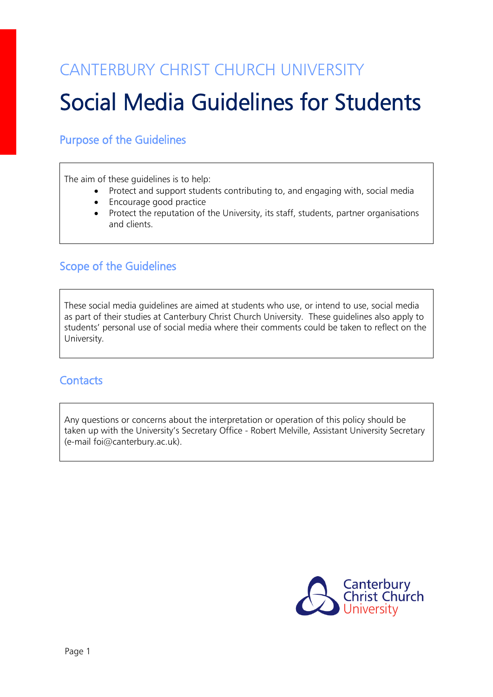## CANTERBURY CHRIST CHURCH UNIVERSITY

# Social Media Guidelines for Students

### Purpose of the Guidelines

The aim of these guidelines is to help:

- Protect and support students contributing to, and engaging with, social media
- Encourage good practice
- Protect the reputation of the University, its staff, students, partner organisations and clients.

### Scope of the Guidelines

These social media guidelines are aimed at students who use, or intend to use, social media as part of their studies at Canterbury Christ Church University. These guidelines also apply to students' personal use of social media where their comments could be taken to reflect on the University.

### **Contacts**

Any questions or concerns about the interpretation or operation of this policy should be taken up with the University's Secretary Office - Robert Melville, Assistant University Secretary (e-mail foi@canterbury.ac.uk).

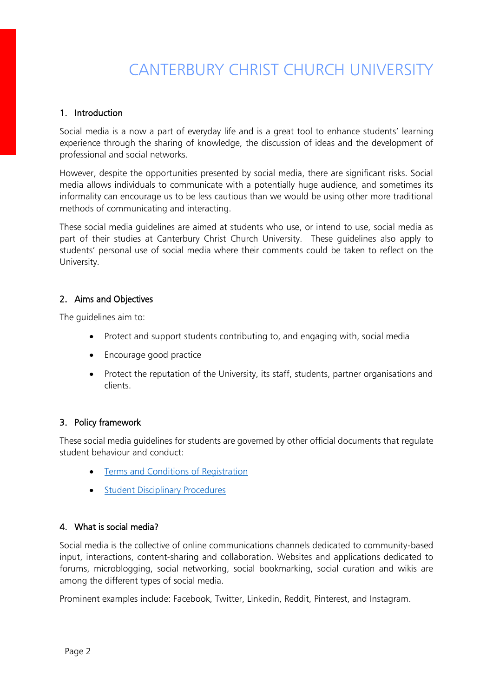## CANTERBURY CHRIST CHURCH UNIVERSITY

#### 1. Introduction

Social media is a now a part of everyday life and is a great tool to enhance students' learning experience through the sharing of knowledge, the discussion of ideas and the development of professional and social networks.

However, despite the opportunities presented by social media, there are significant risks. Social media allows individuals to communicate with a potentially huge audience, and sometimes its informality can encourage us to be less cautious than we would be using other more traditional methods of communicating and interacting.

These social media guidelines are aimed at students who use, or intend to use, social media as part of their studies at Canterbury Christ Church University. These guidelines also apply to students' personal use of social media where their comments could be taken to reflect on the University.

#### 2. Aims and Objectives

The guidelines aim to:

- Protect and support students contributing to, and engaging with, social media
- Encourage good practice
- Protect the reputation of the University, its staff, students, partner organisations and clients.

#### 3. Policy framework

These social media guidelines for students are governed by other official documents that regulate student behaviour and conduct:

- [Terms and Conditions of Registration](mailto:http://www.canterbury.ac.uk/students/academic-services/policy-zone/policy-zone-a-z.aspx)
- [Student Disciplinary Procedures](mailto:http://www.canterbury.ac.uk/student-support-health-and-wellbeing/documents/Student-Disciplinary-Procedures-1-January-2015.pdf)

#### 4. What is social media?

Social media is the collective of online communications channels dedicated to community-based input, interactions, content-sharing and collaboration. Websites and applications dedicated to forums, microblogging, social networking, social bookmarking, social curation and wikis are among the different types of social media.

Prominent examples include: Facebook, Twitter, Linkedin, Reddit, Pinterest, and Instagram.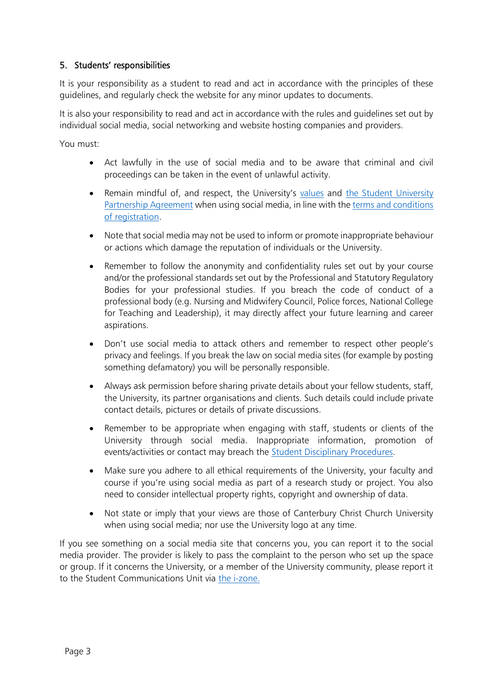#### 5. Students' responsibilities

It is your responsibility as a student to read and act in accordance with the principles of these guidelines, and regularly check the website for any minor updates to documents.

It is also your responsibility to read and act in accordance with the rules and guidelines set out by individual social media, social networking and website hosting companies and providers.

You must:

- Act lawfully in the use of social media and to be aware that criminal and civil proceedings can be taken in the event of unlawful activity.
- Remain mindful of, and respect, the University's [values](mailto:http://www.canterbury.ac.uk/about-us/our-mission-and-values.aspx) and [the Student University](file:///C:/Users/rw396/AppData/Local/Microsoft/Windows/Temporary%20Internet%20Files/Content.Outlook/DB702SKA/•%09The%20Student%20and%20University%20Partnership%20Agreement)  [Partnership Agreement](file:///C:/Users/rw396/AppData/Local/Microsoft/Windows/Temporary%20Internet%20Files/Content.Outlook/DB702SKA/•%09The%20Student%20and%20University%20Partnership%20Agreement) when using social media, in line with th[e terms and conditions](mailto:http://www.canterbury.ac.uk/students/academic-services/policy-zone/policy-zone-a-z.aspx)  [of registration.](mailto:http://www.canterbury.ac.uk/students/academic-services/policy-zone/policy-zone-a-z.aspx)
- Note that social media may not be used to inform or promote inappropriate behaviour or actions which damage the reputation of individuals or the University.
- Remember to follow the anonymity and confidentiality rules set out by your course and/or the professional standards set out by the Professional and Statutory Regulatory Bodies for your professional studies. If you breach the code of conduct of a professional body (e.g. Nursing and Midwifery Council, Police forces, National College for Teaching and Leadership), it may directly affect your future learning and career aspirations.
- Don't use social media to attack others and remember to respect other people's privacy and feelings. If you break the law on social media sites (for example by posting something defamatory) you will be personally responsible.
- Always ask permission before sharing private details about your fellow students, staff, the University, its partner organisations and clients. Such details could include private contact details, pictures or details of private discussions.
- Remember to be appropriate when engaging with staff, students or clients of the University through social media. Inappropriate information, promotion of events/activities or contact may breach the [Student Disciplinary Procedures.](mailto:http://www.canterbury.ac.uk/student-support-health-and-wellbeing/documents/Student-Disciplinary-Procedures-1-January-2015.pdf)
- Make sure you adhere to all ethical requirements of the University, your faculty and course if you're using social media as part of a research study or project. You also need to consider intellectual property rights, copyright and ownership of data.
- Not state or imply that your views are those of Canterbury Christ Church University when using social media; nor use the University logo at any time.

If you see something on a social media site that concerns you, you can report it to the social media provider. The provider is likely to pass the complaint to the person who set up the space or group. If it concerns the University, or a member of the University community, please report it to the Student Communications Unit via [the i-zone.](https://secure.canterbury.ac.uk/ask-the-izone/)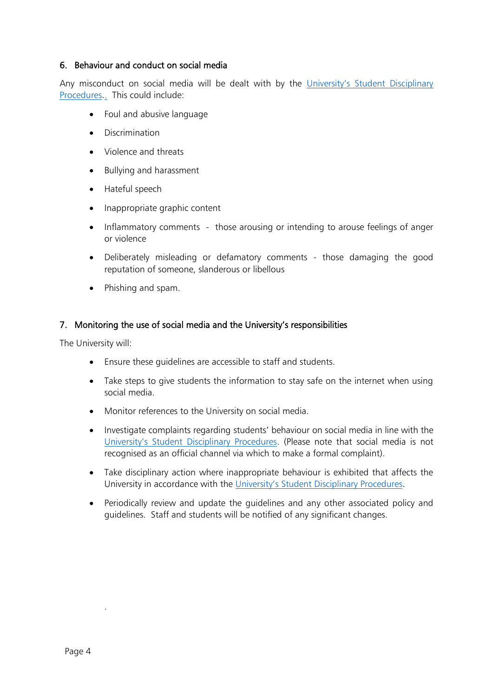#### 6. Behaviour and conduct on social media

Any misconduct on social media will be dealt with by the University's Student Disciplinary [Procedures](http://www.canterbury.ac.uk/student-support-health-and-wellbeing/documents/Student-Disciplinary-Procedures-1-January-2015.pdf)[..](mailto:http://www.canterbury.ac.uk/student-support-health-and-wellbeing/documents/Student-Disciplinary-Procedures-1-January-2015.pdf) This could include:

- Foul and abusive language
- Discrimination
- Violence and threats
- Bullying and harassment
- Hateful speech
- Inappropriate graphic content
- Inflammatory comments those arousing or intending to arouse feelings of anger or violence
- Deliberately misleading or defamatory comments those damaging the good reputation of someone, slanderous or libellous
- Phishing and spam.

#### 7. Monitoring the use of social media and the University's responsibilities

The University will:

- Ensure these guidelines are accessible to staff and students.
- Take steps to give students the information to stay safe on the internet when using social media.
- Monitor references to the University on social media.
- Investigate complaints regarding students' behaviour on social media in line with the [University's Student Disciplinary Procedures](http://www.canterbury.ac.uk/student-support-health-and-wellbeing/documents/Student-Disciplinary-Procedures-1-January-2015.pdf). (Please note that social media is not recognised as an official channel via which to make a formal complaint).
- Take disciplinary action where inappropriate behaviour is exhibited that affects the University in accordance with the [University's Student Disciplinary Procedures](http://www.canterbury.ac.uk/student-support-health-and-wellbeing/documents/Student-Disciplinary-Procedures-1-January-2015.pdf).
- Periodically review and update the guidelines and any other associated policy and guidelines. Staff and students will be notified of any significant changes.

.